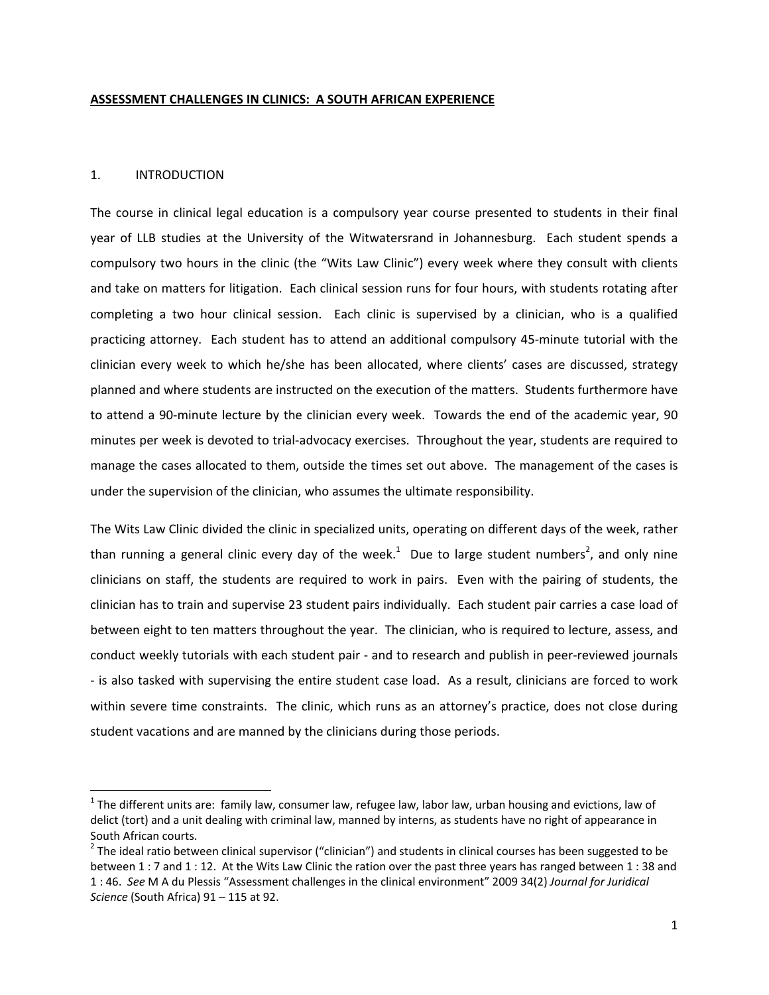### **ASSESSMENT CHALLENGES IN CLINICS: A SOUTH AFRICAN EXPERIENCE**

### 1. INTRODUCTION

The course in clinical legal education is a compulsory year course presented to students in their final year of LLB studies at the University of the Witwatersrand in Johannesburg. Each student spends a compulsory two hours in the clinic (the "Wits Law Clinic") every week where they consult with clients and take on matters for litigation. Each clinical session runs for four hours, with students rotating after completing a two hour clinical session. Each clinic is supervised by a clinician, who is a qualified practicing attorney. Each student has to attend an additional compulsory 45‐minute tutorial with the clinician every week to which he/she has been allocated, where clients' cases are discussed, strategy planned and where students are instructed on the execution of the matters. Students furthermore have to attend a 90‐minute lecture by the clinician every week. Towards the end of the academic year, 90 minutes per week is devoted to trial‐advocacy exercises. Throughout the year, students are required to manage the cases allocated to them, outside the times set out above. The management of the cases is under the supervision of the clinician, who assumes the ultimate responsibility.

The Wits Law Clinic divided the clinic in specialized units, operating on different days of the week, rather than running a general clinic every day of the week.<sup>1</sup> Due to large student numbers<sup>2</sup>, and only nine clinicians on staff, the students are required to work in pairs. Even with the pairing of students, the clinician has to train and supervise 23 student pairs individually. Each student pair carries a case load of between eight to ten matters throughout the year. The clinician, who is required to lecture, assess, and conduct weekly tutorials with each student pair ‐ and to research and publish in peer‐reviewed journals ‐ is also tasked with supervising the entire student case load. As a result, clinicians are forced to work within severe time constraints. The clinic, which runs as an attorney's practice, does not close during student vacations and are manned by the clinicians during those periods.

 $1$  The different units are: family law, consumer law, refugee law, labor law, urban housing and evictions, law of delict (tort) and a unit dealing with criminal law, manned by interns, as students have no right of appearance in South African courts.<br><sup>2</sup> The ideal ratio between clinical supervisor ("clinician") and students in clinical courses has been suggested to be

between 1 : 7 and 1 : 12. At the Wits Law Clinic the ration over the past three years has ranged between 1 : 38 and 1 : 46. *See* M A du Plessis "Assessment challenges in the clinical environment" 2009 34(2) *Journal for Juridical Science* (South Africa) 91 – 115 at 92.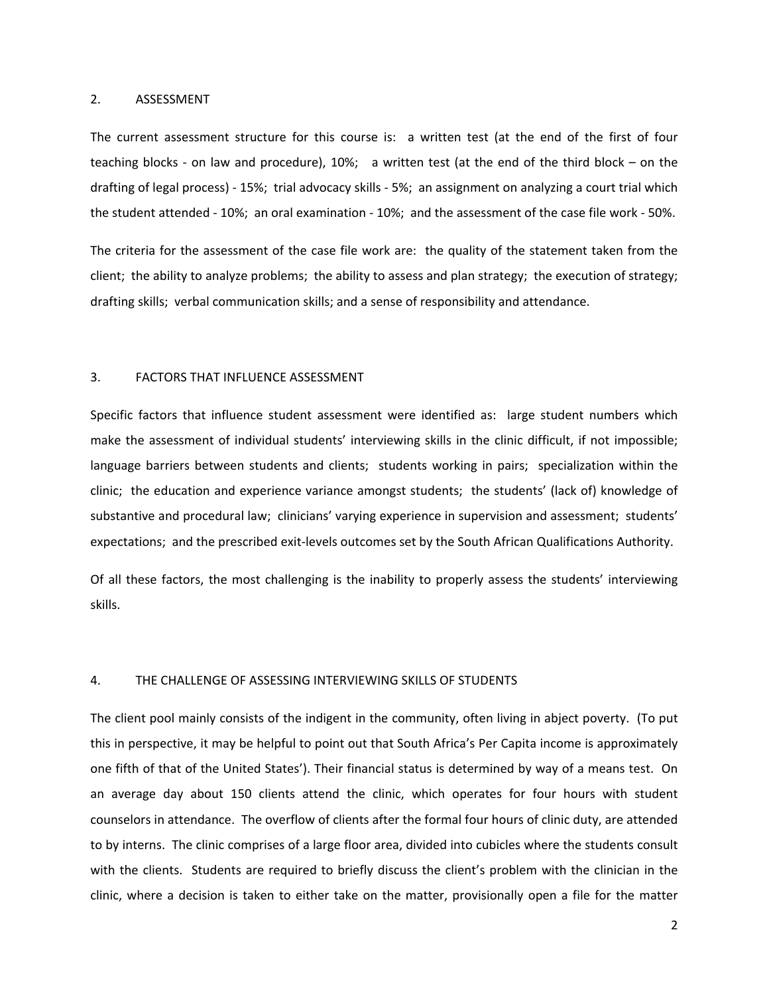#### 2. ASSESSMENT

The current assessment structure for this course is: a written test (at the end of the first of four teaching blocks ‐ on law and procedure), 10%; a written test (at the end of the third block – on the drafting of legal process) ‐ 15%; trial advocacy skills ‐ 5%; an assignment on analyzing a court trial which the student attended ‐ 10%; an oral examination ‐ 10%; and the assessment of the case file work ‐ 50%.

The criteria for the assessment of the case file work are: the quality of the statement taken from the client; the ability to analyze problems; the ability to assess and plan strategy; the execution of strategy; drafting skills; verbal communication skills; and a sense of responsibility and attendance.

#### 3. FACTORS THAT INFLUENCE ASSESSMENT

Specific factors that influence student assessment were identified as: large student numbers which make the assessment of individual students' interviewing skills in the clinic difficult, if not impossible; language barriers between students and clients; students working in pairs; specialization within the clinic; the education and experience variance amongst students; the students' (lack of) knowledge of substantive and procedural law; clinicians' varying experience in supervision and assessment; students' expectations; and the prescribed exit-levels outcomes set by the South African Qualifications Authority.

Of all these factors, the most challenging is the inability to properly assess the students' interviewing skills.

#### 4. THE CHALLENGE OF ASSESSING INTERVIEWING SKILLS OF STUDENTS

The client pool mainly consists of the indigent in the community, often living in abject poverty. (To put this in perspective, it may be helpful to point out that South Africa's Per Capita income is approximately one fifth of that of the United States'). Their financial status is determined by way of a means test. On an average day about 150 clients attend the clinic, which operates for four hours with student counselors in attendance. The overflow of clients after the formal four hours of clinic duty, are attended to by interns. The clinic comprises of a large floor area, divided into cubicles where the students consult with the clients. Students are required to briefly discuss the client's problem with the clinician in the clinic, where a decision is taken to either take on the matter, provisionally open a file for the matter

2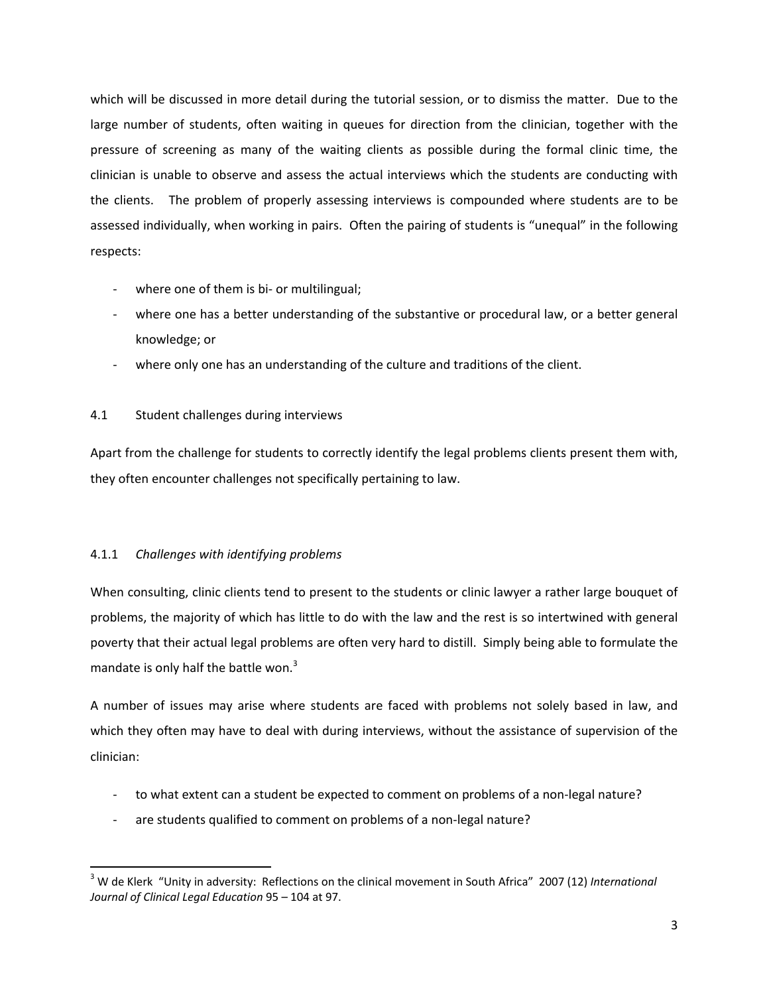which will be discussed in more detail during the tutorial session, or to dismiss the matter. Due to the large number of students, often waiting in queues for direction from the clinician, together with the pressure of screening as many of the waiting clients as possible during the formal clinic time, the clinician is unable to observe and assess the actual interviews which the students are conducting with the clients. The problem of properly assessing interviews is compounded where students are to be assessed individually, when working in pairs. Often the pairing of students is "unequal" in the following respects:

- where one of them is bi- or multilingual;
- where one has a better understanding of the substantive or procedural law, or a better general knowledge; or
- where only one has an understanding of the culture and traditions of the client.

# 4.1 Student challenges during interviews

Apart from the challenge for students to correctly identify the legal problems clients present them with, they often encounter challenges not specifically pertaining to law.

# 4.1.1 *Challenges with identifying problems*

When consulting, clinic clients tend to present to the students or clinic lawyer a rather large bouquet of problems, the majority of which has little to do with the law and the rest is so intertwined with general poverty that their actual legal problems are often very hard to distill. Simply being able to formulate the mandate is only half the battle won.<sup>3</sup>

A number of issues may arise where students are faced with problems not solely based in law, and which they often may have to deal with during interviews, without the assistance of supervision of the clinician:

- ‐ to what extent can a student be expected to comment on problems of a non‐legal nature?
- are students qualified to comment on problems of a non-legal nature?

<sup>3</sup> W de Klerk "Unity in adversity: Reflections on the clinical movement in South Africa" 2007 (12) *International Journal of Clinical Legal Education* 95 – 104 at 97.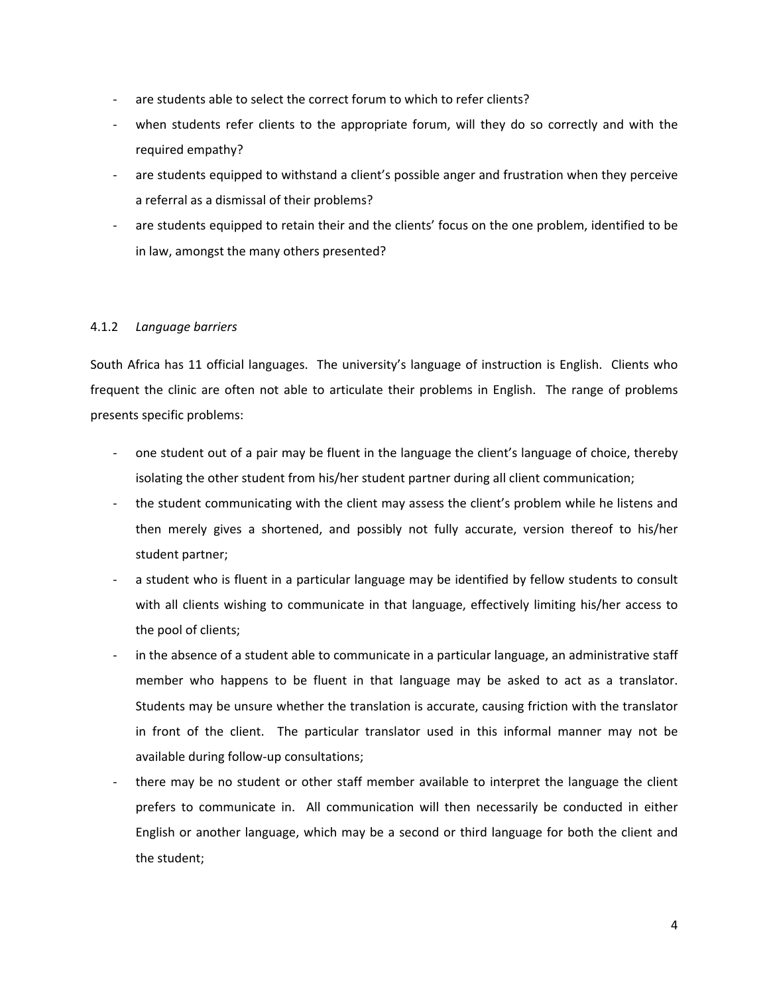- are students able to select the correct forum to which to refer clients?
- when students refer clients to the appropriate forum, will they do so correctly and with the required empathy?
- ‐ are students equipped to withstand a client's possible anger and frustration when they perceive a referral as a dismissal of their problems?
- are students equipped to retain their and the clients' focus on the one problem, identified to be in law, amongst the many others presented?

### 4.1.2 *Language barriers*

South Africa has 11 official languages. The university's language of instruction is English. Clients who frequent the clinic are often not able to articulate their problems in English. The range of problems presents specific problems:

- ‐ one student out of a pair may be fluent in the language the client's language of choice, thereby isolating the other student from his/her student partner during all client communication;
- the student communicating with the client may assess the client's problem while he listens and then merely gives a shortened, and possibly not fully accurate, version thereof to his/her student partner;
- a student who is fluent in a particular language may be identified by fellow students to consult with all clients wishing to communicate in that language, effectively limiting his/her access to the pool of clients;
- in the absence of a student able to communicate in a particular language, an administrative staff member who happens to be fluent in that language may be asked to act as a translator. Students may be unsure whether the translation is accurate, causing friction with the translator in front of the client. The particular translator used in this informal manner may not be available during follow‐up consultations;
- there may be no student or other staff member available to interpret the language the client prefers to communicate in. All communication will then necessarily be conducted in either English or another language, which may be a second or third language for both the client and the student;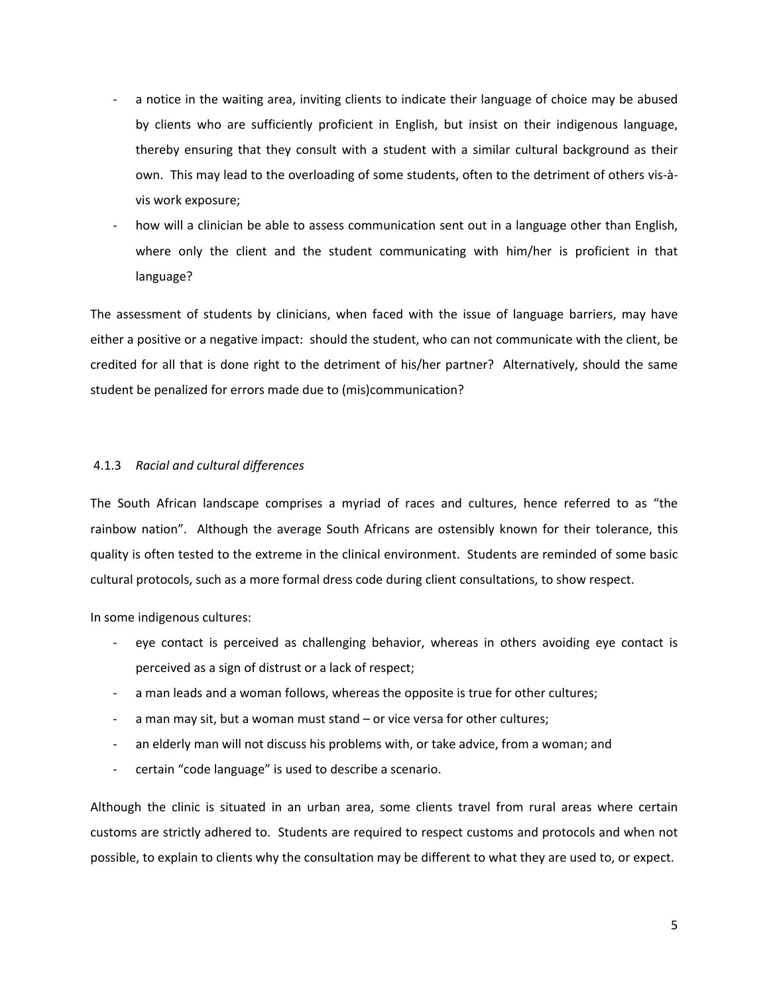- ‐ a notice in the waiting area, inviting clients to indicate their language of choice may be abused by clients who are sufficiently proficient in English, but insist on their indigenous language, thereby ensuring that they consult with a student with a similar cultural background as their own. This may lead to the overloading of some students, often to the detriment of others vis‐à‐ vis work exposure;
- how will a clinician be able to assess communication sent out in a language other than English, where only the client and the student communicating with him/her is proficient in that language?

The assessment of students by clinicians, when faced with the issue of language barriers, may have either a positive or a negative impact: should the student, who can not communicate with the client, be credited for all that is done right to the detriment of his/her partner? Alternatively, should the same student be penalized for errors made due to (mis)communication?

## 4.1.3 *Racial and cultural differences*

The South African landscape comprises a myriad of races and cultures, hence referred to as "the rainbow nation". Although the average South Africans are ostensibly known for their tolerance, this quality is often tested to the extreme in the clinical environment. Students are reminded of some basic cultural protocols, such as a more formal dress code during client consultations, to show respect.

In some indigenous cultures:

- eye contact is perceived as challenging behavior, whereas in others avoiding eye contact is perceived as a sign of distrust or a lack of respect;
- ‐ a man leads and a woman follows, whereas the opposite is true for other cultures;
- ‐ a man may sit, but a woman must stand or vice versa for other cultures;
- ‐ an elderly man will not discuss his problems with, or take advice, from a woman; and
- ‐ certain "code language" is used to describe a scenario.

Although the clinic is situated in an urban area, some clients travel from rural areas where certain customs are strictly adhered to. Students are required to respect customs and protocols and when not possible, to explain to clients why the consultation may be different to what they are used to, or expect.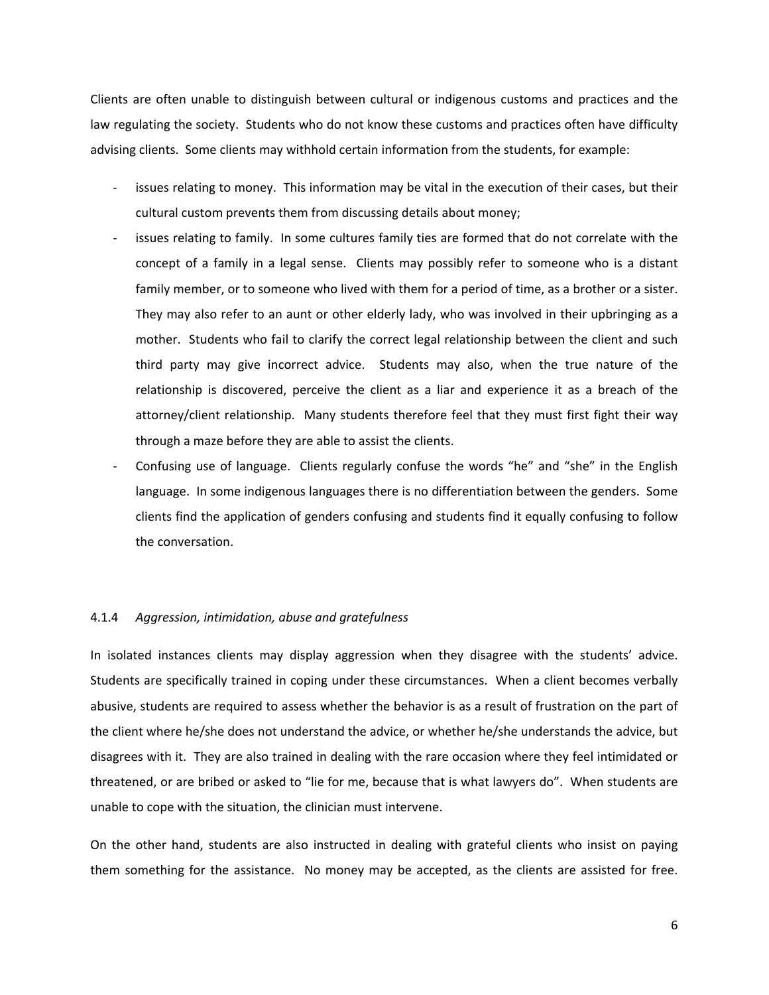Clients are often unable to distinguish between cultural or indigenous customs and practices and the law regulating the society. Students who do not know these customs and practices often have difficulty advising clients. Some clients may withhold certain information from the students, for example:

- issues relating to money. This information may be vital in the execution of their cases, but their cultural custom prevents them from discussing details about money;
- issues relating to family. In some cultures family ties are formed that do not correlate with the concept of a family in a legal sense. Clients may possibly refer to someone who is a distant family member, or to someone who lived with them for a period of time, as a brother or a sister. They may also refer to an aunt or other elderly lady, who was involved in their upbringing as a mother. Students who fail to clarify the correct legal relationship between the client and such third party may give incorrect advice. Students may also, when the true nature of the relationship is discovered, perceive the client as a liar and experience it as a breach of the attorney/client relationship. Many students therefore feel that they must first fight their way through a maze before they are able to assist the clients.
- ‐ Confusing use of language. Clients regularly confuse the words "he" and "she" in the English language. In some indigenous languages there is no differentiation between the genders. Some clients find the application of genders confusing and students find it equally confusing to follow the conversation.

### 4.1.4 *Aggression, intimidation, abuse and gratefulness*

In isolated instances clients may display aggression when they disagree with the students' advice. Students are specifically trained in coping under these circumstances. When a client becomes verbally abusive, students are required to assess whether the behavior is as a result of frustration on the part of the client where he/she does not understand the advice, or whether he/she understands the advice, but disagrees with it. They are also trained in dealing with the rare occasion where they feel intimidated or threatened, or are bribed or asked to "lie for me, because that is what lawyers do". When students are unable to cope with the situation, the clinician must intervene.

On the other hand, students are also instructed in dealing with grateful clients who insist on paying them something for the assistance. No money may be accepted, as the clients are assisted for free.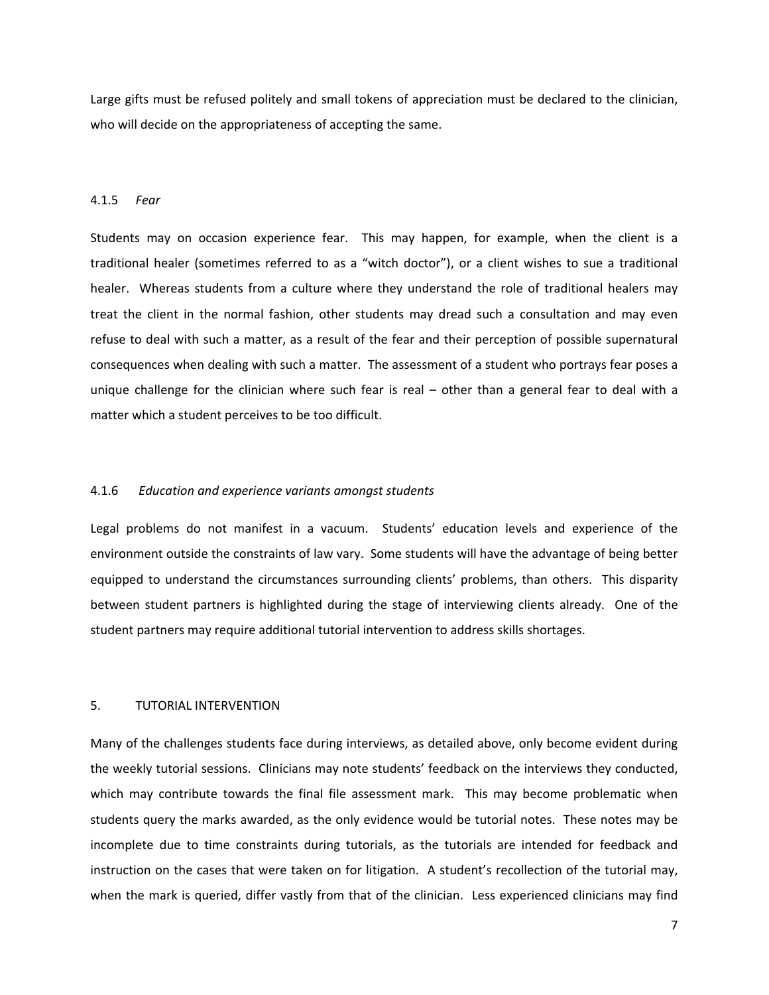Large gifts must be refused politely and small tokens of appreciation must be declared to the clinician, who will decide on the appropriateness of accepting the same.

#### 4.1.5 *Fear*

Students may on occasion experience fear. This may happen, for example, when the client is a traditional healer (sometimes referred to as a "witch doctor"), or a client wishes to sue a traditional healer. Whereas students from a culture where they understand the role of traditional healers may treat the client in the normal fashion, other students may dread such a consultation and may even refuse to deal with such a matter, as a result of the fear and their perception of possible supernatural consequences when dealing with such a matter. The assessment of a student who portrays fear poses a unique challenge for the clinician where such fear is real – other than a general fear to deal with a matter which a student perceives to be too difficult.

### 4.1.6 *Education and experience variants amongst students*

Legal problems do not manifest in a vacuum. Students' education levels and experience of the environment outside the constraints of law vary. Some students will have the advantage of being better equipped to understand the circumstances surrounding clients' problems, than others. This disparity between student partners is highlighted during the stage of interviewing clients already. One of the student partners may require additional tutorial intervention to address skills shortages.

### 5. TUTORIAL INTERVENTION

Many of the challenges students face during interviews, as detailed above, only become evident during the weekly tutorial sessions. Clinicians may note students' feedback on the interviews they conducted, which may contribute towards the final file assessment mark. This may become problematic when students query the marks awarded, as the only evidence would be tutorial notes. These notes may be incomplete due to time constraints during tutorials, as the tutorials are intended for feedback and instruction on the cases that were taken on for litigation. A student's recollection of the tutorial may, when the mark is queried, differ vastly from that of the clinician. Less experienced clinicians may find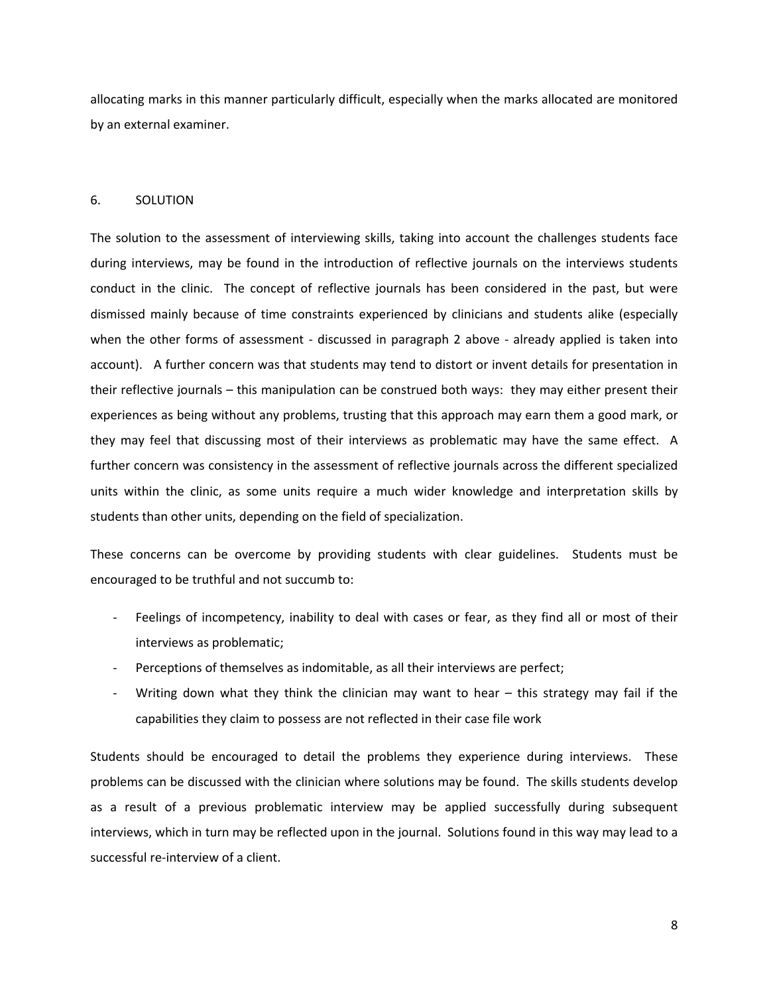allocating marks in this manner particularly difficult, especially when the marks allocated are monitored by an external examiner.

### 6. SOLUTION

The solution to the assessment of interviewing skills, taking into account the challenges students face during interviews, may be found in the introduction of reflective journals on the interviews students conduct in the clinic. The concept of reflective journals has been considered in the past, but were dismissed mainly because of time constraints experienced by clinicians and students alike (especially when the other forms of assessment - discussed in paragraph 2 above - already applied is taken into account). A further concern was that students may tend to distort or invent details for presentation in their reflective journals – this manipulation can be construed both ways: they may either present their experiences as being without any problems, trusting that this approach may earn them a good mark, or they may feel that discussing most of their interviews as problematic may have the same effect. A further concern was consistency in the assessment of reflective journals across the different specialized units within the clinic, as some units require a much wider knowledge and interpretation skills by students than other units, depending on the field of specialization.

These concerns can be overcome by providing students with clear guidelines. Students must be encouraged to be truthful and not succumb to:

- ‐ Feelings of incompetency, inability to deal with cases or fear, as they find all or most of their interviews as problematic;
- Perceptions of themselves as indomitable, as all their interviews are perfect;
- Writing down what they think the clinician may want to hear  $-$  this strategy may fail if the capabilities they claim to possess are not reflected in their case file work

Students should be encouraged to detail the problems they experience during interviews. These problems can be discussed with the clinician where solutions may be found. The skills students develop as a result of a previous problematic interview may be applied successfully during subsequent interviews, which in turn may be reflected upon in the journal. Solutions found in this way may lead to a successful re‐interview of a client.